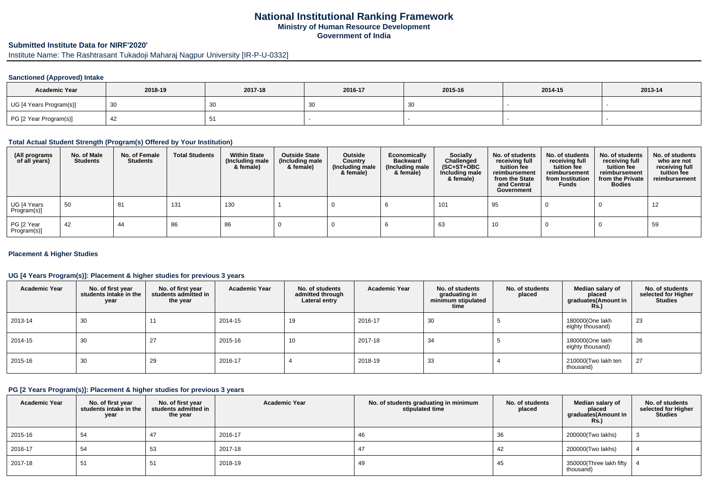# **National Institutional Ranking FrameworkMinistry of Human Resource DevelopmentGovernment of India**

# **Submitted Institute Data for NIRF'2020'**

Institute Name: The Rashtrasant Tukadoji Maharaj Nagpur University [IR-P-U-0332]

## **Sanctioned (Approved) Intake**

| <b>Academic Year</b>    | 2018-19      | 2017-18 | 2016-17 | 2015-16 | 2014-15 | 2013-14 |
|-------------------------|--------------|---------|---------|---------|---------|---------|
| UG [4 Years Program(s)] | $30^{\circ}$ | ັບບ     | - JU    | ັບບ     |         |         |
| PG [2 Year Program(s)]  | 44           |         |         |         |         |         |

## **Total Actual Student Strength (Program(s) Offered by Your Institution)**

| (All programs<br>of all years) | No. of Male<br><b>Students</b> | No. of Female<br><b>Students</b> | <b>Total Students</b> | <b>Within State</b><br>(Including male<br>& female) | <b>Outside State</b><br>(Including male<br>& female) | Outside<br>Country<br>(Including male<br>& female) | Economically<br>Backward<br>(Including male)<br>& female) | <b>Socially</b><br>Challenged<br>$(SC+ST+OBC)$<br>Including male<br>& female) | No. of students<br>receiving full<br>tuition fee<br>reimbursement<br>from the State<br>and Central<br>Government | No. of students<br>receiving full<br>tuition fee<br>reimbursement<br>from Institution<br><b>Funds</b> | No. of students<br>receiving full<br>tuition fee<br>reimbursement<br>from the Private<br><b>Bodies</b> | No. of students<br>who are not<br>receiving full<br>tuition fee<br>reimbursement |
|--------------------------------|--------------------------------|----------------------------------|-----------------------|-----------------------------------------------------|------------------------------------------------------|----------------------------------------------------|-----------------------------------------------------------|-------------------------------------------------------------------------------|------------------------------------------------------------------------------------------------------------------|-------------------------------------------------------------------------------------------------------|--------------------------------------------------------------------------------------------------------|----------------------------------------------------------------------------------|
| UG [4 Years<br>Program(s)]     | 50                             | 81                               | 131                   | 130                                                 |                                                      |                                                    |                                                           | 101                                                                           | 95                                                                                                               |                                                                                                       |                                                                                                        | 12                                                                               |
| PG [2 Year<br>Program(s)]      | 42                             | 44                               | 86                    | 86                                                  |                                                      |                                                    |                                                           | 63                                                                            | 10                                                                                                               |                                                                                                       |                                                                                                        | 59                                                                               |

### **Placement & Higher Studies**

# **UG [4 Years Program(s)]: Placement & higher studies for previous 3 years**

| <b>Academic Year</b> | No. of first year<br>students intake in the<br>year | No. of first vear<br>students admitted in<br>the year | <b>Academic Year</b> | No. of students<br>admitted through<br>Lateral entry | <b>Academic Year</b> | No. of students<br>graduating in<br>minimum stipulated<br>time | No. of students<br>placed | Median salary of<br>placed<br>graduates(Amount in<br>Rs.) | No. of students<br>selected for Higher<br><b>Studies</b> |
|----------------------|-----------------------------------------------------|-------------------------------------------------------|----------------------|------------------------------------------------------|----------------------|----------------------------------------------------------------|---------------------------|-----------------------------------------------------------|----------------------------------------------------------|
| 2013-14              | 30                                                  |                                                       | 2014-15              | 19                                                   | 2016-17              | 30                                                             |                           | 180000(One lakh<br>eighty thousand)                       | 23                                                       |
| 2014-15              | 30                                                  | 27                                                    | 2015-16              | 10                                                   | 2017-18              | 34                                                             |                           | 180000(One lakh<br>eighty thousand)                       | 26                                                       |
| 2015-16              | 30                                                  | 29                                                    | 2016-17              |                                                      | 2018-19              | 33                                                             |                           | 210000(Two lakh ten<br>thousand)                          | 27                                                       |

## **PG [2 Years Program(s)]: Placement & higher studies for previous 3 years**

| <b>Academic Year</b> | No. of first year<br>students intake in the<br>year | No. of first year<br>students admitted in<br>the year | <b>Academic Year</b> | No. of students graduating in minimum<br>stipulated time | No. of students<br>placed | Median salary of<br>placed<br>graduates(Amount in<br><b>Rs.)</b> | No. of students<br>selected for Higher<br><b>Studies</b> |
|----------------------|-----------------------------------------------------|-------------------------------------------------------|----------------------|----------------------------------------------------------|---------------------------|------------------------------------------------------------------|----------------------------------------------------------|
| 2015-16              | 54                                                  | 47                                                    | 2016-17              | 46                                                       | 36                        | 200000(Two lakhs)                                                |                                                          |
| 2016-17              | 54                                                  | 53                                                    | 2017-18              |                                                          | 42                        | 200000(Two lakhs)                                                |                                                          |
| 2017-18              | ບ≀                                                  | ັບ                                                    | 2018-19              | 49                                                       | 45                        | 350000(Three lakh fifty<br>thousand)                             |                                                          |